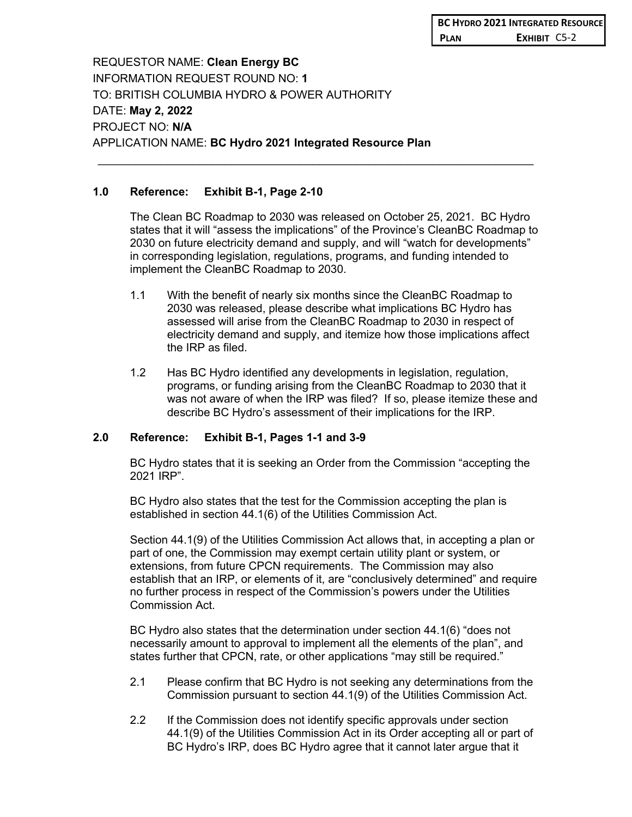REQUESTOR NAME: **Clean Energy BC** INFORMATION REQUEST ROUND NO: **1** TO: BRITISH COLUMBIA HYDRO & POWER AUTHORITY DATE: **May 2, 2022** PROJECT NO: **N/A** APPLICATION NAME: **BC Hydro 2021 Integrated Resource Plan**

## **1.0 Reference: Exhibit B-1, Page 2-10**

The Clean BC Roadmap to 2030 was released on October 25, 2021. BC Hydro states that it will "assess the implications" of the Province's CleanBC Roadmap to 2030 on future electricity demand and supply, and will "watch for developments" in corresponding legislation, regulations, programs, and funding intended to implement the CleanBC Roadmap to 2030.

 $\_$ 

- 1.1 With the benefit of nearly six months since the CleanBC Roadmap to 2030 was released, please describe what implications BC Hydro has assessed will arise from the CleanBC Roadmap to 2030 in respect of electricity demand and supply, and itemize how those implications affect the IRP as filed.
- 1.2 Has BC Hydro identified any developments in legislation, regulation, programs, or funding arising from the CleanBC Roadmap to 2030 that it was not aware of when the IRP was filed? If so, please itemize these and describe BC Hydro's assessment of their implications for the IRP.

# **2.0 Reference: Exhibit B-1, Pages 1-1 and 3-9**

BC Hydro states that it is seeking an Order from the Commission "accepting the 2021 IRP".

BC Hydro also states that the test for the Commission accepting the plan is established in section 44.1(6) of the Utilities Commission Act.

Section 44.1(9) of the Utilities Commission Act allows that, in accepting a plan or part of one, the Commission may exempt certain utility plant or system, or extensions, from future CPCN requirements. The Commission may also establish that an IRP, or elements of it, are "conclusively determined" and require no further process in respect of the Commission's powers under the Utilities Commission Act.

BC Hydro also states that the determination under section 44.1(6) "does not necessarily amount to approval to implement all the elements of the plan", and states further that CPCN, rate, or other applications "may still be required."

- 2.1 Please confirm that BC Hydro is not seeking any determinations from the Commission pursuant to section 44.1(9) of the Utilities Commission Act.
- 2.2 If the Commission does not identify specific approvals under section 44.1(9) of the Utilities Commission Act in its Order accepting all or part of BC Hydro's IRP, does BC Hydro agree that it cannot later argue that it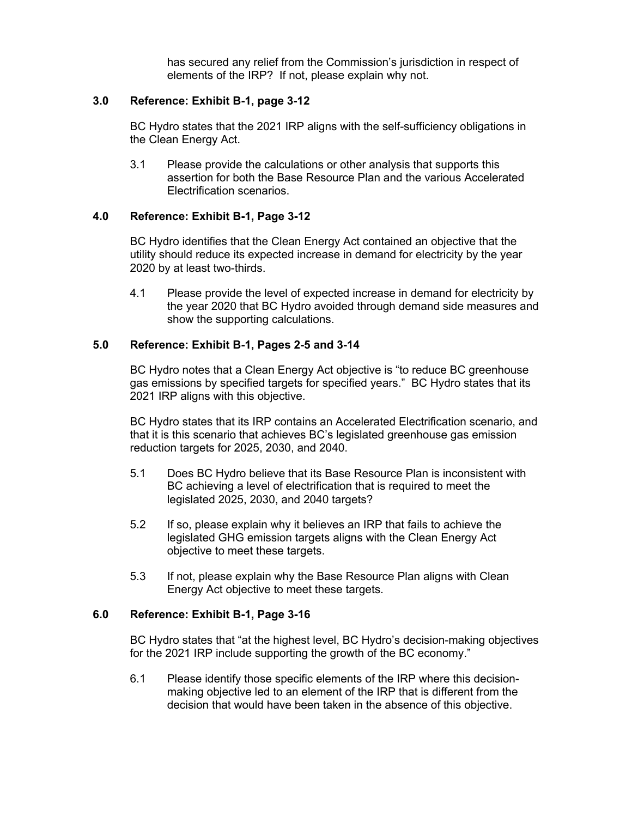has secured any relief from the Commission's jurisdiction in respect of elements of the IRP? If not, please explain why not.

#### **3.0 Reference: Exhibit B-1, page 3-12**

BC Hydro states that the 2021 IRP aligns with the self-sufficiency obligations in the Clean Energy Act.

3.1 Please provide the calculations or other analysis that supports this assertion for both the Base Resource Plan and the various Accelerated Electrification scenarios.

## **4.0 Reference: Exhibit B-1, Page 3-12**

BC Hydro identifies that the Clean Energy Act contained an objective that the utility should reduce its expected increase in demand for electricity by the year 2020 by at least two-thirds.

4.1 Please provide the level of expected increase in demand for electricity by the year 2020 that BC Hydro avoided through demand side measures and show the supporting calculations.

### **5.0 Reference: Exhibit B-1, Pages 2-5 and 3-14**

BC Hydro notes that a Clean Energy Act objective is "to reduce BC greenhouse gas emissions by specified targets for specified years." BC Hydro states that its 2021 IRP aligns with this objective.

BC Hydro states that its IRP contains an Accelerated Electrification scenario, and that it is this scenario that achieves BC's legislated greenhouse gas emission reduction targets for 2025, 2030, and 2040.

- 5.1 Does BC Hydro believe that its Base Resource Plan is inconsistent with BC achieving a level of electrification that is required to meet the legislated 2025, 2030, and 2040 targets?
- 5.2 If so, please explain why it believes an IRP that fails to achieve the legislated GHG emission targets aligns with the Clean Energy Act objective to meet these targets.
- 5.3 If not, please explain why the Base Resource Plan aligns with Clean Energy Act objective to meet these targets.

#### **6.0 Reference: Exhibit B-1, Page 3-16**

BC Hydro states that "at the highest level, BC Hydro's decision-making objectives for the 2021 IRP include supporting the growth of the BC economy."

6.1 Please identify those specific elements of the IRP where this decisionmaking objective led to an element of the IRP that is different from the decision that would have been taken in the absence of this objective.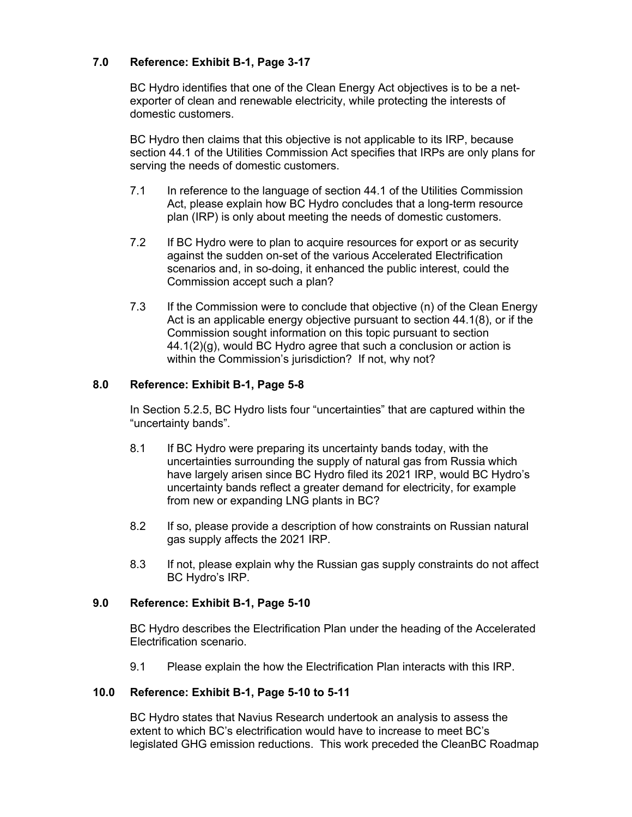# **7.0 Reference: Exhibit B-1, Page 3-17**

BC Hydro identifies that one of the Clean Energy Act objectives is to be a netexporter of clean and renewable electricity, while protecting the interests of domestic customers.

BC Hydro then claims that this objective is not applicable to its IRP, because section 44.1 of the Utilities Commission Act specifies that IRPs are only plans for serving the needs of domestic customers.

- 7.1 In reference to the language of section 44.1 of the Utilities Commission Act, please explain how BC Hydro concludes that a long-term resource plan (IRP) is only about meeting the needs of domestic customers.
- 7.2 If BC Hydro were to plan to acquire resources for export or as security against the sudden on-set of the various Accelerated Electrification scenarios and, in so-doing, it enhanced the public interest, could the Commission accept such a plan?
- 7.3 If the Commission were to conclude that objective (n) of the Clean Energy Act is an applicable energy objective pursuant to section 44.1(8), or if the Commission sought information on this topic pursuant to section 44.1(2)(g), would BC Hydro agree that such a conclusion or action is within the Commission's jurisdiction? If not, why not?

## **8.0 Reference: Exhibit B-1, Page 5-8**

In Section 5.2.5, BC Hydro lists four "uncertainties" that are captured within the "uncertainty bands".

- 8.1 If BC Hydro were preparing its uncertainty bands today, with the uncertainties surrounding the supply of natural gas from Russia which have largely arisen since BC Hydro filed its 2021 IRP, would BC Hydro's uncertainty bands reflect a greater demand for electricity, for example from new or expanding LNG plants in BC?
- 8.2 If so, please provide a description of how constraints on Russian natural gas supply affects the 2021 IRP.
- 8.3 If not, please explain why the Russian gas supply constraints do not affect BC Hydro's IRP.

## **9.0 Reference: Exhibit B-1, Page 5-10**

BC Hydro describes the Electrification Plan under the heading of the Accelerated Electrification scenario.

9.1 Please explain the how the Electrification Plan interacts with this IRP.

## **10.0 Reference: Exhibit B-1, Page 5-10 to 5-11**

BC Hydro states that Navius Research undertook an analysis to assess the extent to which BC's electrification would have to increase to meet BC's legislated GHG emission reductions. This work preceded the CleanBC Roadmap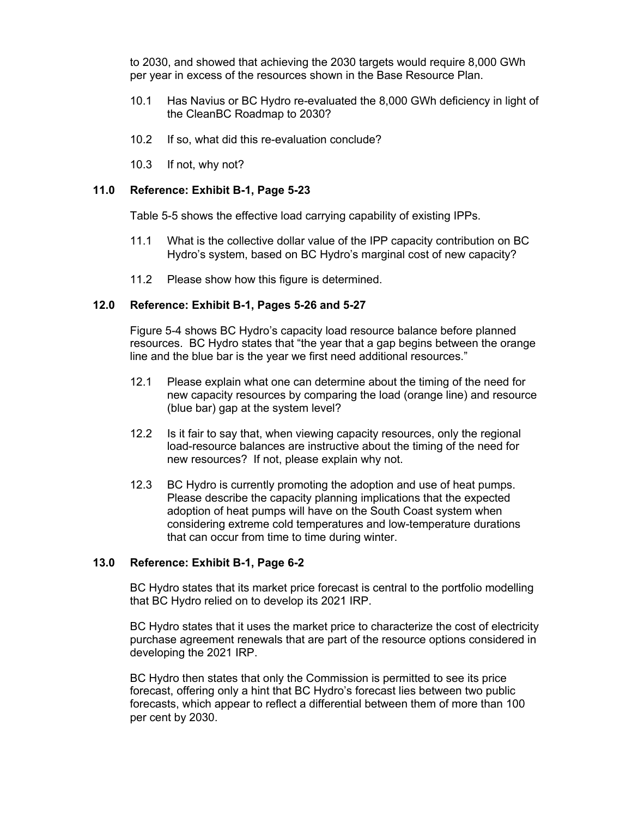to 2030, and showed that achieving the 2030 targets would require 8,000 GWh per year in excess of the resources shown in the Base Resource Plan.

- 10.1 Has Navius or BC Hydro re-evaluated the 8,000 GWh deficiency in light of the CleanBC Roadmap to 2030?
- 10.2 If so, what did this re-evaluation conclude?
- 10.3 If not, why not?

#### **11.0 Reference: Exhibit B-1, Page 5-23**

Table 5-5 shows the effective load carrying capability of existing IPPs.

- 11.1 What is the collective dollar value of the IPP capacity contribution on BC Hydro's system, based on BC Hydro's marginal cost of new capacity?
- 11.2 Please show how this figure is determined.

#### **12.0 Reference: Exhibit B-1, Pages 5-26 and 5-27**

Figure 5-4 shows BC Hydro's capacity load resource balance before planned resources. BC Hydro states that "the year that a gap begins between the orange line and the blue bar is the year we first need additional resources."

- 12.1 Please explain what one can determine about the timing of the need for new capacity resources by comparing the load (orange line) and resource (blue bar) gap at the system level?
- 12.2 Is it fair to say that, when viewing capacity resources, only the regional load-resource balances are instructive about the timing of the need for new resources? If not, please explain why not.
- 12.3 BC Hydro is currently promoting the adoption and use of heat pumps. Please describe the capacity planning implications that the expected adoption of heat pumps will have on the South Coast system when considering extreme cold temperatures and low-temperature durations that can occur from time to time during winter.

## **13.0 Reference: Exhibit B-1, Page 6-2**

BC Hydro states that its market price forecast is central to the portfolio modelling that BC Hydro relied on to develop its 2021 IRP.

BC Hydro states that it uses the market price to characterize the cost of electricity purchase agreement renewals that are part of the resource options considered in developing the 2021 IRP.

BC Hydro then states that only the Commission is permitted to see its price forecast, offering only a hint that BC Hydro's forecast lies between two public forecasts, which appear to reflect a differential between them of more than 100 per cent by 2030.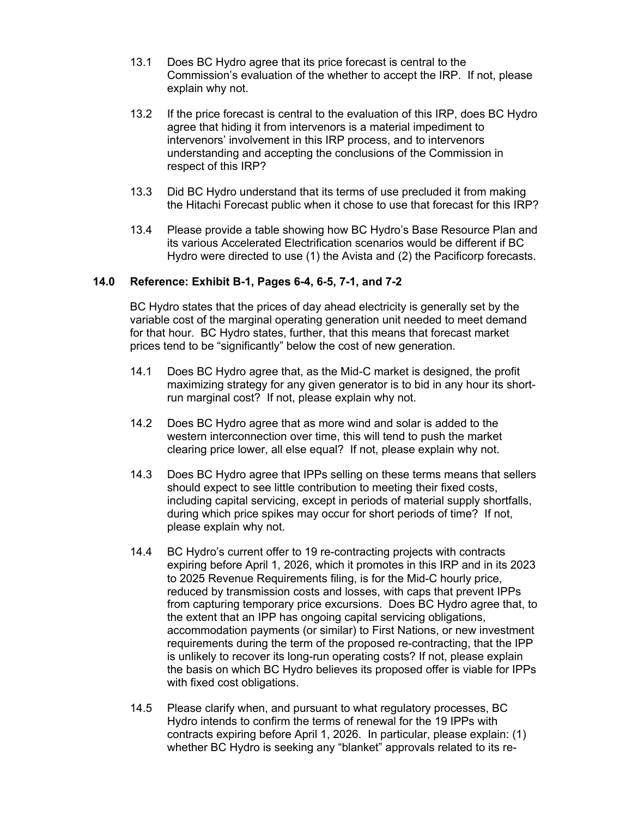- 13.1 Does BC Hydro agree that its price forecast is central to the Commission's evaluation of the whether to accept the IRP. If not, please explain why not.
- 13.2 If the price forecast is central to the evaluation of this IRP, does BC Hydro agree that hiding it from intervenors is a material impediment to intervenors' involvement in this IRP process, and to intervenors understanding and accepting the conclusions of the Commission in respect of this IRP?
- 13.3 Did BC Hydro understand that its terms of use precluded it from making the Hitachi Forecast public when it chose to use that forecast for this IRP?
- 13.4 Please provide a table showing how BC Hydro's Base Resource Plan and its various Accelerated Electrification scenarios would be different if BC Hydro were directed to use (1) the Avista and (2) the Pacificorp forecasts.

### **14.0 Reference: Exhibit B-1, Pages 6-4, 6-5, 7-1, and 7-2**

BC Hydro states that the prices of day ahead electricity is generally set by the variable cost of the marginal operating generation unit needed to meet demand for that hour. BC Hydro states, further, that this means that forecast market prices tend to be "significantly" below the cost of new generation.

- 14.1 Does BC Hydro agree that, as the Mid-C market is designed, the profit maximizing strategy for any given generator is to bid in any hour its shortrun marginal cost? If not, please explain why not.
- 14.2 Does BC Hydro agree that as more wind and solar is added to the western interconnection over time, this will tend to push the market clearing price lower, all else equal? If not, please explain why not.
- 14.3 Does BC Hydro agree that IPPs selling on these terms means that sellers should expect to see little contribution to meeting their fixed costs, including capital servicing, except in periods of material supply shortfalls, during which price spikes may occur for short periods of time? If not, please explain why not.
- 14.4 BC Hydro's current offer to 19 re-contracting projects with contracts expiring before April 1, 2026, which it promotes in this IRP and in its 2023 to 2025 Revenue Requirements filing, is for the Mid-C hourly price, reduced by transmission costs and losses, with caps that prevent IPPs from capturing temporary price excursions. Does BC Hydro agree that, to the extent that an IPP has ongoing capital servicing obligations, accommodation payments (or similar) to First Nations, or new investment requirements during the term of the proposed re-contracting, that the IPP is unlikely to recover its long-run operating costs? If not, please explain the basis on which BC Hydro believes its proposed offer is viable for IPPs with fixed cost obligations.
- 14.5 Please clarify when, and pursuant to what regulatory processes, BC Hydro intends to confirm the terms of renewal for the 19 IPPs with contracts expiring before April 1, 2026. In particular, please explain: (1) whether BC Hydro is seeking any "blanket" approvals related to its re-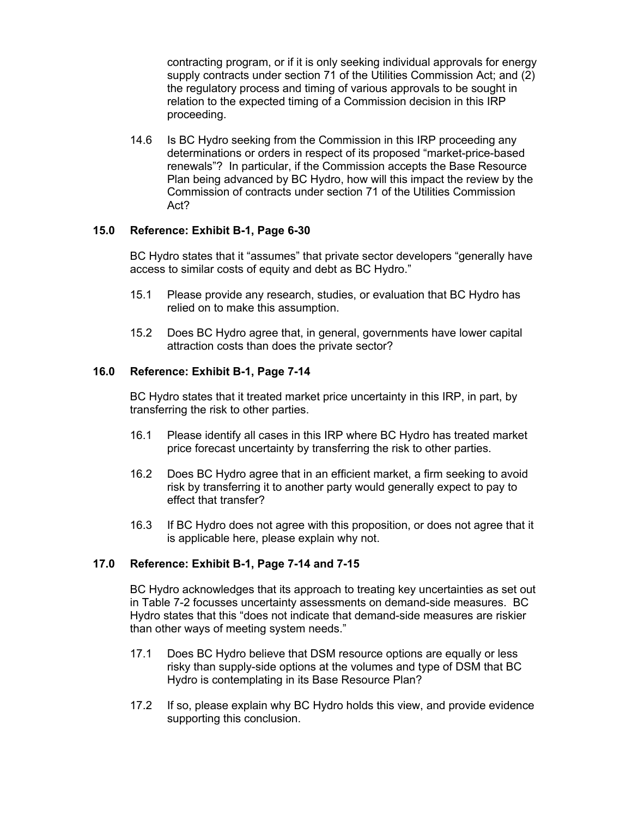contracting program, or if it is only seeking individual approvals for energy supply contracts under section 71 of the Utilities Commission Act; and (2) the regulatory process and timing of various approvals to be sought in relation to the expected timing of a Commission decision in this IRP proceeding.

14.6 Is BC Hydro seeking from the Commission in this IRP proceeding any determinations or orders in respect of its proposed "market-price-based renewals"? In particular, if the Commission accepts the Base Resource Plan being advanced by BC Hydro, how will this impact the review by the Commission of contracts under section 71 of the Utilities Commission Act?

## **15.0 Reference: Exhibit B-1, Page 6-30**

BC Hydro states that it "assumes" that private sector developers "generally have access to similar costs of equity and debt as BC Hydro."

- 15.1 Please provide any research, studies, or evaluation that BC Hydro has relied on to make this assumption.
- 15.2 Does BC Hydro agree that, in general, governments have lower capital attraction costs than does the private sector?

#### **16.0 Reference: Exhibit B-1, Page 7-14**

BC Hydro states that it treated market price uncertainty in this IRP, in part, by transferring the risk to other parties.

- 16.1 Please identify all cases in this IRP where BC Hydro has treated market price forecast uncertainty by transferring the risk to other parties.
- 16.2 Does BC Hydro agree that in an efficient market, a firm seeking to avoid risk by transferring it to another party would generally expect to pay to effect that transfer?
- 16.3 If BC Hydro does not agree with this proposition, or does not agree that it is applicable here, please explain why not.

### **17.0 Reference: Exhibit B-1, Page 7-14 and 7-15**

BC Hydro acknowledges that its approach to treating key uncertainties as set out in Table 7-2 focusses uncertainty assessments on demand-side measures. BC Hydro states that this "does not indicate that demand-side measures are riskier than other ways of meeting system needs."

- 17.1 Does BC Hydro believe that DSM resource options are equally or less risky than supply-side options at the volumes and type of DSM that BC Hydro is contemplating in its Base Resource Plan?
- 17.2 If so, please explain why BC Hydro holds this view, and provide evidence supporting this conclusion.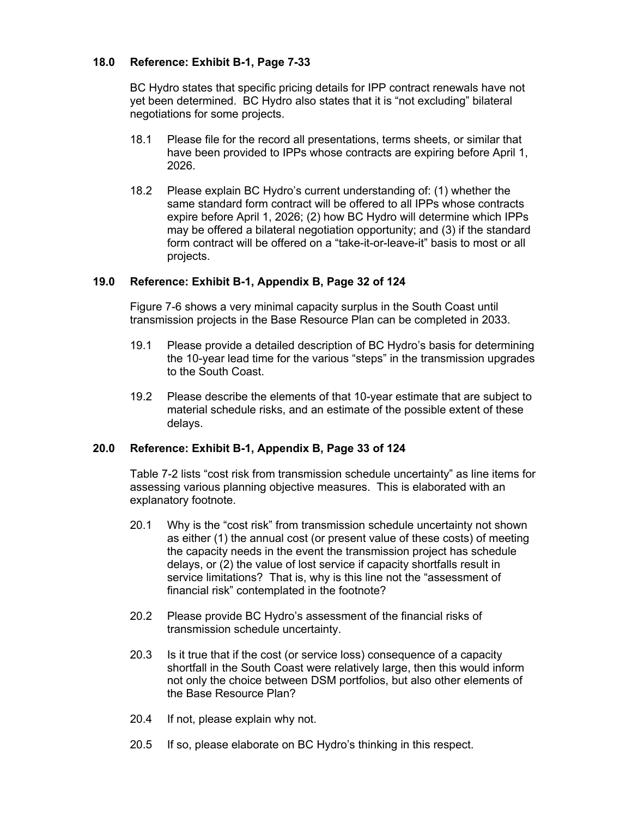## **18.0 Reference: Exhibit B-1, Page 7-33**

BC Hydro states that specific pricing details for IPP contract renewals have not yet been determined. BC Hydro also states that it is "not excluding" bilateral negotiations for some projects.

- 18.1 Please file for the record all presentations, terms sheets, or similar that have been provided to IPPs whose contracts are expiring before April 1, 2026.
- 18.2 Please explain BC Hydro's current understanding of: (1) whether the same standard form contract will be offered to all IPPs whose contracts expire before April 1, 2026; (2) how BC Hydro will determine which IPPs may be offered a bilateral negotiation opportunity; and (3) if the standard form contract will be offered on a "take-it-or-leave-it" basis to most or all projects.

## **19.0 Reference: Exhibit B-1, Appendix B, Page 32 of 124**

Figure 7-6 shows a very minimal capacity surplus in the South Coast until transmission projects in the Base Resource Plan can be completed in 2033.

- 19.1 Please provide a detailed description of BC Hydro's basis for determining the 10-year lead time for the various "steps" in the transmission upgrades to the South Coast.
- 19.2 Please describe the elements of that 10-year estimate that are subject to material schedule risks, and an estimate of the possible extent of these delays.

## **20.0 Reference: Exhibit B-1, Appendix B, Page 33 of 124**

Table 7-2 lists "cost risk from transmission schedule uncertainty" as line items for assessing various planning objective measures. This is elaborated with an explanatory footnote.

- 20.1 Why is the "cost risk" from transmission schedule uncertainty not shown as either (1) the annual cost (or present value of these costs) of meeting the capacity needs in the event the transmission project has schedule delays, or (2) the value of lost service if capacity shortfalls result in service limitations? That is, why is this line not the "assessment of financial risk" contemplated in the footnote?
- 20.2 Please provide BC Hydro's assessment of the financial risks of transmission schedule uncertainty.
- 20.3 Is it true that if the cost (or service loss) consequence of a capacity shortfall in the South Coast were relatively large, then this would inform not only the choice between DSM portfolios, but also other elements of the Base Resource Plan?
- 20.4 If not, please explain why not.
- 20.5 If so, please elaborate on BC Hydro's thinking in this respect.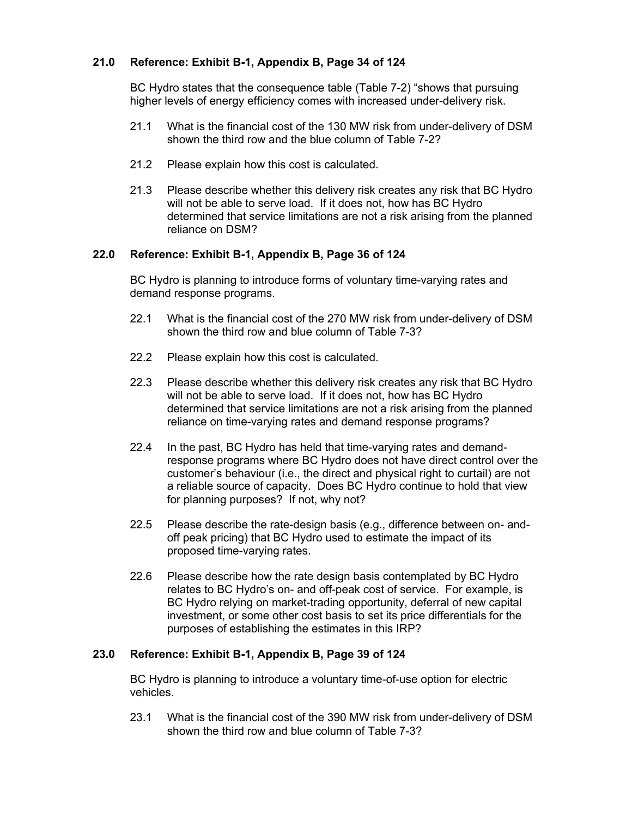# **21.0 Reference: Exhibit B-1, Appendix B, Page 34 of 124**

BC Hydro states that the consequence table (Table 7-2) "shows that pursuing higher levels of energy efficiency comes with increased under-delivery risk.

- 21.1 What is the financial cost of the 130 MW risk from under-delivery of DSM shown the third row and the blue column of Table 7-2?
- 21.2 Please explain how this cost is calculated.
- 21.3 Please describe whether this delivery risk creates any risk that BC Hydro will not be able to serve load. If it does not, how has BC Hydro determined that service limitations are not a risk arising from the planned reliance on DSM?

### **22.0 Reference: Exhibit B-1, Appendix B, Page 36 of 124**

BC Hydro is planning to introduce forms of voluntary time-varying rates and demand response programs.

- 22.1 What is the financial cost of the 270 MW risk from under-delivery of DSM shown the third row and blue column of Table 7-3?
- 22.2 Please explain how this cost is calculated.
- 22.3 Please describe whether this delivery risk creates any risk that BC Hydro will not be able to serve load. If it does not, how has BC Hydro determined that service limitations are not a risk arising from the planned reliance on time-varying rates and demand response programs?
- 22.4 In the past, BC Hydro has held that time-varying rates and demandresponse programs where BC Hydro does not have direct control over the customer's behaviour (i.e., the direct and physical right to curtail) are not a reliable source of capacity. Does BC Hydro continue to hold that view for planning purposes? If not, why not?
- 22.5 Please describe the rate-design basis (e.g., difference between on- andoff peak pricing) that BC Hydro used to estimate the impact of its proposed time-varying rates.
- 22.6 Please describe how the rate design basis contemplated by BC Hydro relates to BC Hydro's on- and off-peak cost of service. For example, is BC Hydro relying on market-trading opportunity, deferral of new capital investment, or some other cost basis to set its price differentials for the purposes of establishing the estimates in this IRP?

## **23.0 Reference: Exhibit B-1, Appendix B, Page 39 of 124**

BC Hydro is planning to introduce a voluntary time-of-use option for electric vehicles.

23.1 What is the financial cost of the 390 MW risk from under-delivery of DSM shown the third row and blue column of Table 7-3?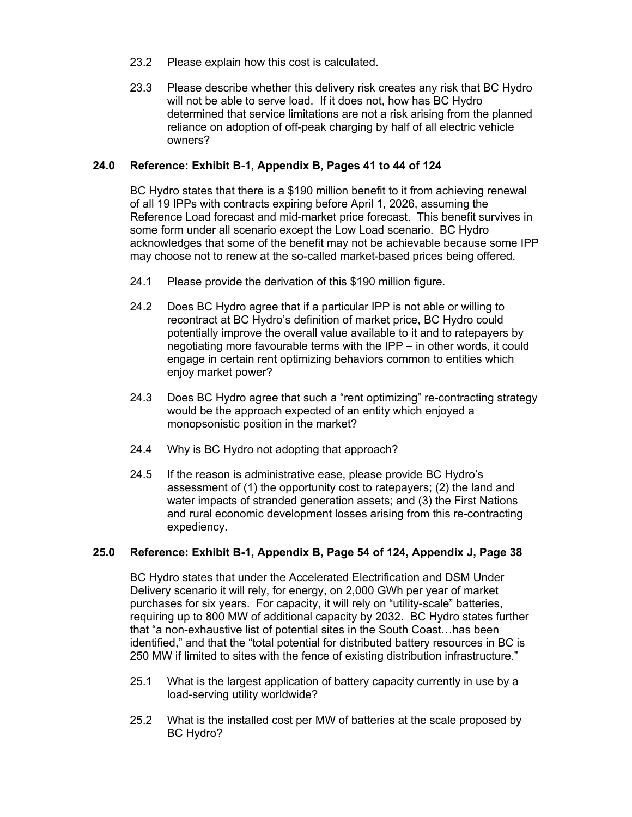- 23.2 Please explain how this cost is calculated.
- 23.3 Please describe whether this delivery risk creates any risk that BC Hydro will not be able to serve load. If it does not, how has BC Hydro determined that service limitations are not a risk arising from the planned reliance on adoption of off-peak charging by half of all electric vehicle owners?

## **24.0 Reference: Exhibit B-1, Appendix B, Pages 41 to 44 of 124**

BC Hydro states that there is a \$190 million benefit to it from achieving renewal of all 19 IPPs with contracts expiring before April 1, 2026, assuming the Reference Load forecast and mid-market price forecast. This benefit survives in some form under all scenario except the Low Load scenario. BC Hydro acknowledges that some of the benefit may not be achievable because some IPP may choose not to renew at the so-called market-based prices being offered.

- 24.1 Please provide the derivation of this \$190 million figure.
- 24.2 Does BC Hydro agree that if a particular IPP is not able or willing to recontract at BC Hydro's definition of market price, BC Hydro could potentially improve the overall value available to it and to ratepayers by negotiating more favourable terms with the IPP – in other words, it could engage in certain rent optimizing behaviors common to entities which enjoy market power?
- 24.3 Does BC Hydro agree that such a "rent optimizing" re-contracting strategy would be the approach expected of an entity which enjoyed a monopsonistic position in the market?
- 24.4 Why is BC Hydro not adopting that approach?
- 24.5 If the reason is administrative ease, please provide BC Hydro's assessment of (1) the opportunity cost to ratepayers; (2) the land and water impacts of stranded generation assets; and (3) the First Nations and rural economic development losses arising from this re-contracting expediency.

## **25.0 Reference: Exhibit B-1, Appendix B, Page 54 of 124, Appendix J, Page 38**

BC Hydro states that under the Accelerated Electrification and DSM Under Delivery scenario it will rely, for energy, on 2,000 GWh per year of market purchases for six years. For capacity, it will rely on "utility-scale" batteries, requiring up to 800 MW of additional capacity by 2032. BC Hydro states further that "a non-exhaustive list of potential sites in the South Coast…has been identified," and that the "total potential for distributed battery resources in BC is 250 MW if limited to sites with the fence of existing distribution infrastructure."

- 25.1 What is the largest application of battery capacity currently in use by a load-serving utility worldwide?
- 25.2 What is the installed cost per MW of batteries at the scale proposed by BC Hydro?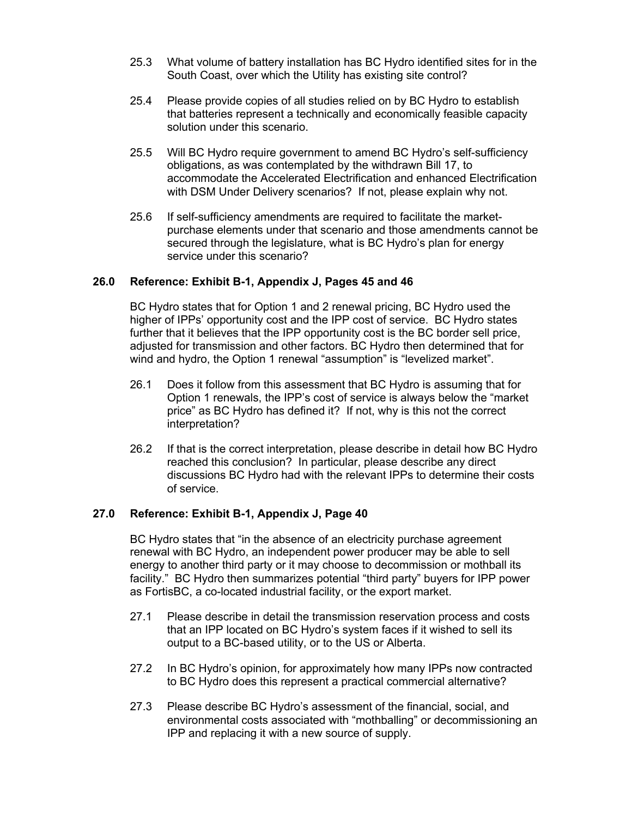- 25.3 What volume of battery installation has BC Hydro identified sites for in the South Coast, over which the Utility has existing site control?
- 25.4 Please provide copies of all studies relied on by BC Hydro to establish that batteries represent a technically and economically feasible capacity solution under this scenario.
- 25.5 Will BC Hydro require government to amend BC Hydro's self-sufficiency obligations, as was contemplated by the withdrawn Bill 17, to accommodate the Accelerated Electrification and enhanced Electrification with DSM Under Delivery scenarios? If not, please explain why not.
- 25.6 If self-sufficiency amendments are required to facilitate the marketpurchase elements under that scenario and those amendments cannot be secured through the legislature, what is BC Hydro's plan for energy service under this scenario?

### **26.0 Reference: Exhibit B-1, Appendix J, Pages 45 and 46**

BC Hydro states that for Option 1 and 2 renewal pricing, BC Hydro used the higher of IPPs' opportunity cost and the IPP cost of service. BC Hydro states further that it believes that the IPP opportunity cost is the BC border sell price, adjusted for transmission and other factors. BC Hydro then determined that for wind and hydro, the Option 1 renewal "assumption" is "levelized market".

- 26.1 Does it follow from this assessment that BC Hydro is assuming that for Option 1 renewals, the IPP's cost of service is always below the "market price" as BC Hydro has defined it? If not, why is this not the correct interpretation?
- 26.2 If that is the correct interpretation, please describe in detail how BC Hydro reached this conclusion? In particular, please describe any direct discussions BC Hydro had with the relevant IPPs to determine their costs of service.

#### **27.0 Reference: Exhibit B-1, Appendix J, Page 40**

BC Hydro states that "in the absence of an electricity purchase agreement renewal with BC Hydro, an independent power producer may be able to sell energy to another third party or it may choose to decommission or mothball its facility." BC Hydro then summarizes potential "third party" buyers for IPP power as FortisBC, a co-located industrial facility, or the export market.

- 27.1 Please describe in detail the transmission reservation process and costs that an IPP located on BC Hydro's system faces if it wished to sell its output to a BC-based utility, or to the US or Alberta.
- 27.2 In BC Hydro's opinion, for approximately how many IPPs now contracted to BC Hydro does this represent a practical commercial alternative?
- 27.3 Please describe BC Hydro's assessment of the financial, social, and environmental costs associated with "mothballing" or decommissioning an IPP and replacing it with a new source of supply.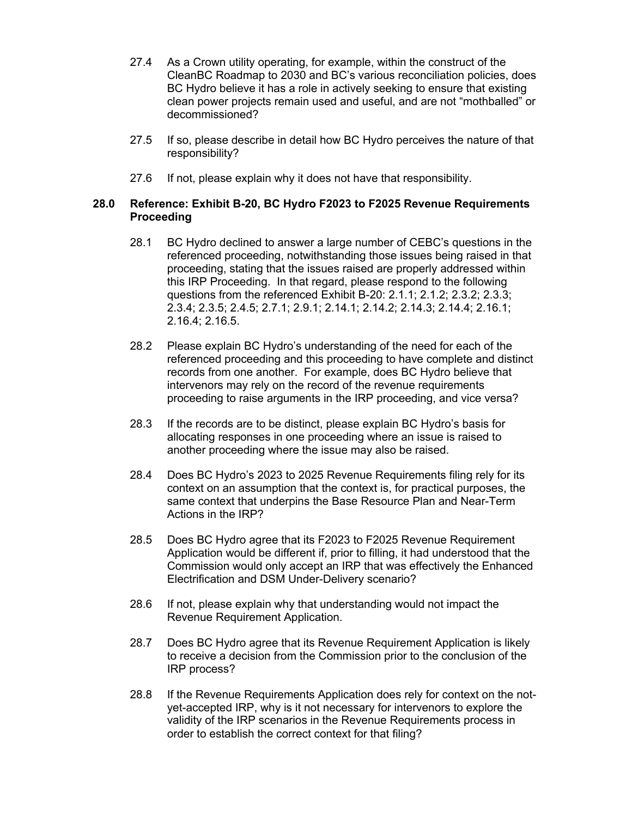- 27.4 As a Crown utility operating, for example, within the construct of the CleanBC Roadmap to 2030 and BC's various reconciliation policies, does BC Hydro believe it has a role in actively seeking to ensure that existing clean power projects remain used and useful, and are not "mothballed" or decommissioned?
- 27.5 If so, please describe in detail how BC Hydro perceives the nature of that responsibility?
- 27.6 If not, please explain why it does not have that responsibility.

## **28.0 Reference: Exhibit B-20, BC Hydro F2023 to F2025 Revenue Requirements Proceeding**

- 28.1 BC Hydro declined to answer a large number of CEBC's questions in the referenced proceeding, notwithstanding those issues being raised in that proceeding, stating that the issues raised are properly addressed within this IRP Proceeding. In that regard, please respond to the following questions from the referenced Exhibit B-20: 2.1.1; 2.1.2; 2.3.2; 2.3.3; 2.3.4; 2.3.5; 2.4.5; 2.7.1; 2.9.1; 2.14.1; 2.14.2; 2.14.3; 2.14.4; 2.16.1; 2.16.4; 2.16.5.
- 28.2 Please explain BC Hydro's understanding of the need for each of the referenced proceeding and this proceeding to have complete and distinct records from one another. For example, does BC Hydro believe that intervenors may rely on the record of the revenue requirements proceeding to raise arguments in the IRP proceeding, and vice versa?
- 28.3 If the records are to be distinct, please explain BC Hydro's basis for allocating responses in one proceeding where an issue is raised to another proceeding where the issue may also be raised.
- 28.4 Does BC Hydro's 2023 to 2025 Revenue Requirements filing rely for its context on an assumption that the context is, for practical purposes, the same context that underpins the Base Resource Plan and Near-Term Actions in the IRP?
- 28.5 Does BC Hydro agree that its F2023 to F2025 Revenue Requirement Application would be different if, prior to filling, it had understood that the Commission would only accept an IRP that was effectively the Enhanced Electrification and DSM Under-Delivery scenario?
- 28.6 If not, please explain why that understanding would not impact the Revenue Requirement Application.
- 28.7 Does BC Hydro agree that its Revenue Requirement Application is likely to receive a decision from the Commission prior to the conclusion of the IRP process?
- 28.8 If the Revenue Requirements Application does rely for context on the notyet-accepted IRP, why is it not necessary for intervenors to explore the validity of the IRP scenarios in the Revenue Requirements process in order to establish the correct context for that filing?